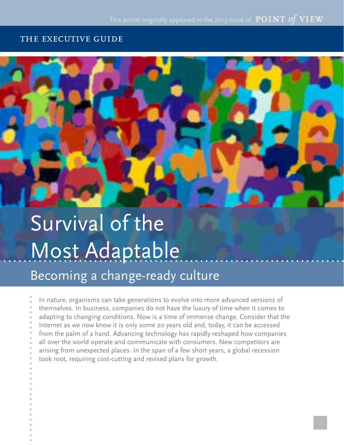#### the executive guide



# Survival of the Most Adaptable

Becoming a change-ready culture

In nature, organisms can take generations to evolve into more advanced versions of themselves. In business, companies do not have the luxury of time when it comes to adapting to changing conditions. Now is a time of immense change. Consider that the Internet as we now know it is only some 20 years old and, today, it can be accessed from the palm of a hand. Advancing technology has rapidly reshaped how companies all over the world operate and communicate with consumers. New competitors are arising from unexpected places. In the span of a few short years, a global recession took root, requiring cost-cutting and revised plans for growth.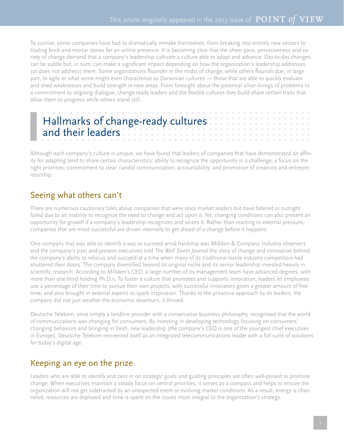To survive, some companies have had to dramatically remake themselves, from breaking into entirely new sectors to trading brick-and-mortar stores for an online presence. It is becoming clear that the sheer pace, pervasiveness and variety of change demand that a company's leadership cultivate a culture able to adapt and advance. Day-to-day changes can be subtle but, in sum, can make a significant impact depending on how the organization's leadership addresses (or does not address) them. Some organizations flounder in the midst of change, while others flourish due, in large part, to agile or what some might even characterize as Darwinian cultures — those that are able to quickly evaluate and shed weaknesses and build strength in new areas. From foresight about the potential silver linings of problems to a commitment to ongoing dialogue, change-ready leaders and the flexible cultures they build share certain traits that allow them to progress while others stand still.

| and their leaders. |  |  |  |  |  |  |  |  |
|--------------------|--|--|--|--|--|--|--|--|
|                    |  |  |  |  |  |  |  |  |

Although each company's culture is unique, we have found that leaders of companies that have demonstrated an affinity for adapting tend to share certain characteristics: ability to recognize the opportunity in a challenge; a focus on the right priorities; commitment to clear, candid communication; accountability; and promotion of creativity and entrepreneurship.

## Seeing what others can't

There are numerous cautionary tales about companies that were once market leaders but have faltered or outright failed due to an inability to recognize the need to change and act upon it. Yet, changing conditions can also present an opportunity for growth if a company's leadership recognizes and seizes it. Rather than reacting to external pressure, companies that are most successful are driven internally to get ahead of a change before it happens.

One company that was able to identify a way to succeed amid hardship was Milliken & Company. Industry observers and the company's past and present executives told *The Wall Street Journal* the story of change and innovation behind the company's ability to refocus and succeed at a time when many of its traditional textile industry competitors had shuttered their doors. The company diversified beyond its original niche and its senior leadership invested heavily in scientific research. According to Milliken's CEO, a large number of its management team have advanced degrees, with more than one-third holding Ph.D.s. To foster a culture that promotes and supports innovation, leaders let employees use a percentage of their time to pursue their own projects, with successful innovators given a greater amount of free time, and also brought in external experts to spark inspiration. Thanks to the proactive approach by its leaders, the company did not just weather the economic downturn, it thrived.

Deutsche Telekom, once simply a landline provider with a conservative business philosophy, recognized that the world of communications was changing for consumers. By investing in developing technology, focusing on consumers' changing behaviors and bringing in fresh, new leadership (the company's CEO is one of the youngest chief executives in Europe), Deutsche Telekom reinvented itself as an integrated telecommunications leader with a full suite of solutions for today's digital age.

# Keeping an eye on the prize

Leaders who are able to identify and zero in on strategic goals and guiding principles are often well-poised to promote change. When executives maintain a steady focus on central priorities, it serves as a compass and helps to ensure the organization will not get sidetracked by an unexpected event or evolving market conditions. As a result, energy is channeled, resources are deployed and time is spent on the issues most integral to the organization's strategy.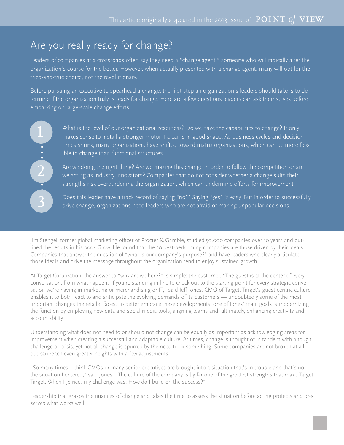# Are you really ready for change?

Leaders of companies at a crossroads often say they need a "change agent," someone who will radically alter the organization's course for the better. However, when actually presented with a change agent, many will opt for the tried-and-true choice, not the revolutionary.

Before pursuing an executive to spearhead a change, the first step an organization's leaders should take is to determine if the organization truly is ready for change. Here are a few questions leaders can ask themselves before embarking on large-scale change efforts:

 $\frac{1}{2}$  $\blacksquare$ 3

What is the level of our organizational readiness? Do we have the capabilities to change? It only makes sense to install a stronger motor if a car is in good shape. As business cycles and decision times shrink, many organizations have shifted toward matrix organizations, which can be more flexible to change than functional structures.

Are we doing the right thing? Are we making this change in order to follow the competition or are we acting as industry innovators? Companies that do not consider whether a change suits their strengths risk overburdening the organization, which can undermine efforts for improvement.

Does this leader have a track record of saying "no"? Saying "yes" is easy. But in order to successfully drive change, organizations need leaders who are not afraid of making unpopular decisions.

Jim Stengel, former global marketing officer of Procter & Gamble, studied 50,000 companies over 10 years and outlined the results in his book Grow. He found that the 50 best-performing companies are those driven by their ideals. Companies that answer the question of "what is our company's purpose?" and have leaders who clearly articulate those ideals and drive the message throughout the organization tend to enjoy sustained growth.

At Target Corporation, the answer to "why are we here?" is simple: the customer. "The guest is at the center of every conversation, from what happens if you're standing in line to check out to the starting point for every strategic conversation we're having in marketing or merchandising or IT," said Jeff Jones, CMO of Target. Target's guest-centric culture enables it to both react to and anticipate the evolving demands of its customers — undoubtedly some of the most important changes the retailer faces. To better embrace these developments, one of Jones' main goals is modernizing the function by employing new data and social media tools, aligning teams and, ultimately, enhancing creativity and accountability.

Understanding what does not need to or should not change can be equally as important as acknowledging areas for improvement when creating a successful and adaptable culture. At times, change is thought of in tandem with a tough challenge or crisis, yet not all change is spurred by the need to fix something. Some companies are not broken at all, but can reach even greater heights with a few adjustments.

"So many times, I think CMOs or many senior executives are brought into a situation that's in trouble and that's not the situation I entered," said Jones. "The culture of the company is by far one of the greatest strengths that make Target Target. When I joined, my challenge was: How do I build on the success?"

Leadership that grasps the nuances of change and takes the time to assess the situation before acting protects and preserves what works well.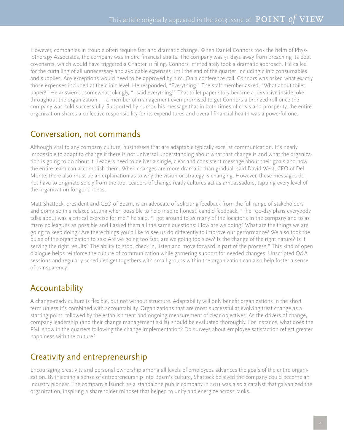However, companies in trouble often require fast and dramatic change. When Daniel Connors took the helm of Physiotherapy Associates, the company was in dire financial straits. The company was 51 days away from breaching its debt covenants, which would have triggered a Chapter 11 filing. Connors immediately took a dramatic approach. He called for the curtailing of all unnecessary and avoidable expenses until the end of the quarter, including clinic consumables and supplies. Any exceptions would need to be approved by him. On a conference call, Connors was asked what exactly those expenses included at the clinic level. He responded, "Everything." The staff member asked, "What about toilet paper?" He answered, somewhat jokingly, "I said everything!" That toilet paper story became a pervasive inside joke throughout the organization — a member of management even promised to get Connors a bronzed roll once the company was sold successfully. Supported by humor, his message that in both times of crisis and prosperity, the entire organization shares a collective responsibility for its expenditures and overall financial health was a powerful one.

### Conversation, not commands

Although vital to any company culture, businesses that are adaptable typically excel at communication. It's nearly impossible to adapt to change if there is not universal understanding about what that change is and what the organization is going to do about it. Leaders need to deliver a single, clear and consistent message about their goals and how the entire team can accomplish them. When changes are more dramatic than gradual, said David West, CEO of Del Monte, there also must be an explanation as to why the vision or strategy is changing. However, these messages do not have to originate solely from the top. Leaders of change-ready cultures act as ambassadors, tapping every level of the organization for good ideas.

Matt Shattock, president and CEO of Beam, is an advocate of soliciting feedback from the full range of stakeholders and doing so in a relaxed setting when possible to help inspire honest, candid feedback. "The 100-day plans everybody talks about was a critical exercise for me," he said. "I got around to as many of the locations in the company and to as many colleagues as possible and I asked them all the same questions: How are we doing? What are the things we are going to keep doing? Are there things you'd like to see us do differently to improve our performance? We also took the pulse of the organization to ask: Are we going too fast, are we going too slow? Is the change of the right nature? Is it serving the right results? The ability to stop, check in, listen and move forward is part of the process." This kind of open dialogue helps reinforce the culture of communication while garnering support for needed changes. Unscripted Q&A sessions and regularly scheduled get-togethers with small groups within the organization can also help foster a sense of transparency.

# Accountability

A change-ready culture is flexible, but not without structure. Adaptability will only benefit organizations in the short term unless it's combined with accountability. Organizations that are most successful at evolving treat change as a starting point, followed by the establishment and ongoing measurement of clear objectives. As the drivers of change, company leadership (and their change management skills) should be evaluated thoroughly. For instance, what does the P&L show in the quarters following the change implementation? Do surveys about employee satisfaction reflect greater happiness with the culture?

# Creativity and entrepreneurship

Encouraging creativity and personal ownership among all levels of employees advances the goals of the entire organization. By injecting a sense of entrepreneurship into Beam's culture, Shattock believed the company could become an industry pioneer. The company's launch as a standalone public company in 2011 was also a catalyst that galvanized the organization, inspiring a shareholder mindset that helped to unify and energize across ranks.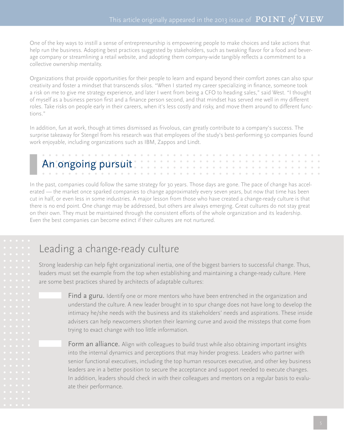One of the key ways to instill a sense of entrepreneurship is empowering people to make choices and take actions that help run the business. Adopting best practices suggested by stakeholders, such as tweaking flavor for a food and beverage company or streamlining a retail website, and adopting them company-wide tangibly reflects a commitment to a collective ownership mentality.

Organizations that provide opportunities for their people to learn and expand beyond their comfort zones can also spur creativity and foster a mindset that transcends silos. "When I started my career specializing in finance, someone took a risk on me to give me strategy experience, and later I went from being a CFO to heading sales," said West. "I thought of myself as a business person first and a finance person second, and that mindset has served me well in my different roles. Take risks on people early in their careers, when it's less costly and risky, and move them around to different functions."

In addition, fun at work, though at times dismissed as frivolous, can greatly contribute to a company's success. The surprise takeaway for Stengel from his research was that employees of the study's best-performing 50 companies found work enjoyable, including organizations such as IBM, Zappos and Lindt.

In the past, companies could follow the same strategy for 30 years. Those days are gone. The pace of change has accelerated — the market once sparked companies to change approximately every seven years, but now that time has been cut in half, or even less in some industries. A major lesson from those who have created a change-ready culture is that there is no end point. One change may be addressed, but others are always emerging. Great cultures do not stay great on their own. They must be maintained through the consistent efforts of the whole organization and its leadership. Even the best companies can become extinct if their cultures are not nurtured.

# Leading a change-ready culture

Strong leadership can help fight organizational inertia, one of the biggest barriers to successful change. Thus, leaders must set the example from the top when establishing and maintaining a change-ready culture. Here are some best practices shared by architects of adaptable cultures:

> Find a guru. Identify one or more mentors who have been entrenched in the organization and understand the culture. A new leader brought in to spur change does not have long to develop the intimacy he/she needs with the business and its stakeholders' needs and aspirations. These inside advisers can help newcomers shorten their learning curve and avoid the missteps that come from trying to exact change with too little information.

> Form an alliance. Align with colleagues to build trust while also obtaining important insights into the internal dynamics and perceptions that may hinder progress. Leaders who partner with senior functional executives, including the top human resources executive, and other key business leaders are in a better position to secure the acceptance and support needed to execute changes. In addition, leaders should check in with their colleagues and mentors on a regular basis to evaluate their performance.